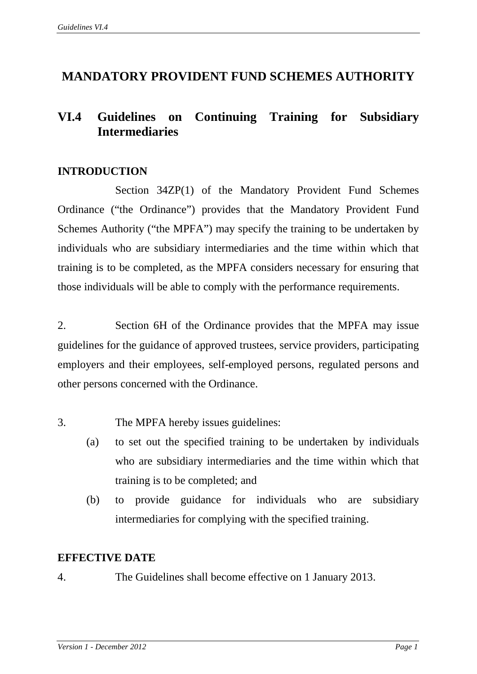# **MANDATORY PROVIDENT FUND SCHEMES AUTHORITY**

# **VI.4 Guidelines on Continuing Training for Subsidiary Intermediaries**

## **INTRODUCTION**

Section 34ZP(1) of the Mandatory Provident Fund Schemes Ordinance ("the Ordinance") provides that the Mandatory Provident Fund Schemes Authority ("the MPFA") may specify the training to be undertaken by individuals who are subsidiary intermediaries and the time within which that training is to be completed, as the MPFA considers necessary for ensuring that those individuals will be able to comply with the performance requirements.

2. Section 6H of the Ordinance provides that the MPFA may issue guidelines for the guidance of approved trustees, service providers, participating employers and their employees, self-employed persons, regulated persons and other persons concerned with the Ordinance.

3. The MPFA hereby issues guidelines:

- (a) to set out the specified training to be undertaken by individuals who are subsidiary intermediaries and the time within which that training is to be completed; and
- (b) to provide guidance for individuals who are subsidiary intermediaries for complying with the specified training.

## **EFFECTIVE DATE**

4. The Guidelines shall become effective on 1 January 2013.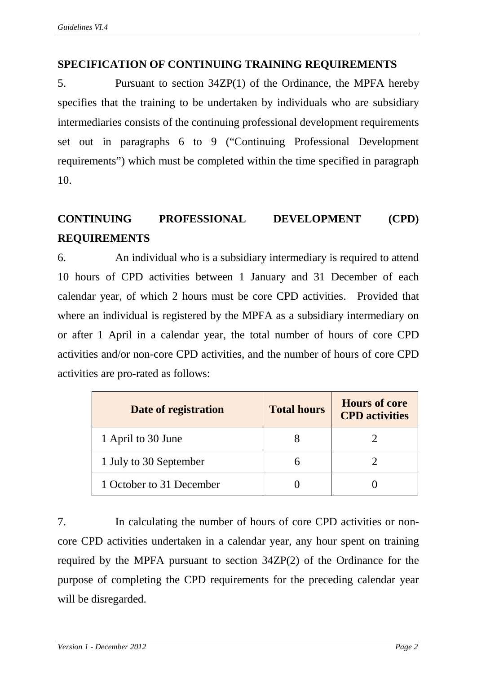# **SPECIFICATION OF CONTINUING TRAINING REQUIREMENTS**

5. Pursuant to section 34ZP(1) of the Ordinance, the MPFA hereby specifies that the training to be undertaken by individuals who are subsidiary intermediaries consists of the continuing professional development requirements set out in paragraphs 6 to 9 ("Continuing Professional Development requirements") which must be completed within the time specified in paragraph 10.

# **CONTINUING PROFESSIONAL DEVELOPMENT (CPD) REQUIREMENTS**

6. An individual who is a subsidiary intermediary is required to attend 10 hours of CPD activities between 1 January and 31 December of each calendar year, of which 2 hours must be core CPD activities. Provided that where an individual is registered by the MPFA as a subsidiary intermediary on or after 1 April in a calendar year, the total number of hours of core CPD activities and/or non-core CPD activities, and the number of hours of core CPD activities are pro-rated as follows:

| Date of registration     | <b>Total hours</b> | <b>Hours of core</b><br><b>CPD</b> activities |
|--------------------------|--------------------|-----------------------------------------------|
| 1 April to 30 June       |                    |                                               |
| 1 July to 30 September   |                    |                                               |
| 1 October to 31 December |                    |                                               |

7. In calculating the number of hours of core CPD activities or noncore CPD activities undertaken in a calendar year, any hour spent on training required by the MPFA pursuant to section 34ZP(2) of the Ordinance for the purpose of completing the CPD requirements for the preceding calendar year will be disregarded.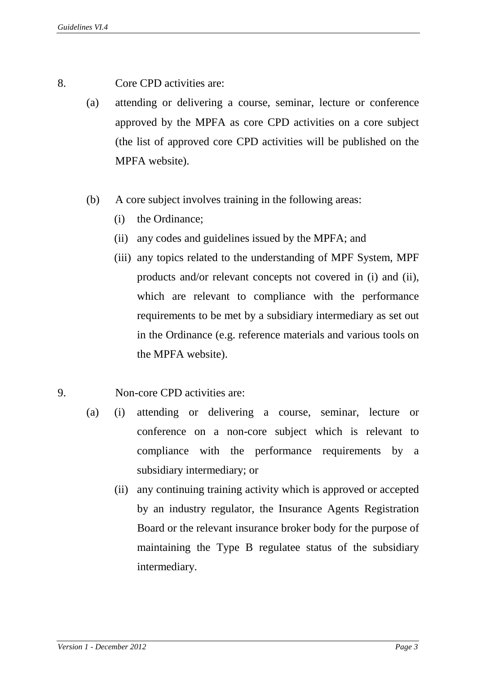- 8. Core CPD activities are:
	- (a) attending or delivering a course, seminar, lecture or conference approved by the MPFA as core CPD activities on a core subject (the list of approved core CPD activities will be published on the MPFA website).
	- (b) A core subject involves training in the following areas:
		- (i) the Ordinance;
		- (ii) any codes and guidelines issued by the MPFA; and
		- (iii) any topics related to the understanding of MPF System, MPF products and/or relevant concepts not covered in (i) and (ii), which are relevant to compliance with the performance requirements to be met by a subsidiary intermediary as set out in the Ordinance (e.g. reference materials and various tools on the MPFA website).
- 9. Non-core CPD activities are:
	- (a) (i) attending or delivering a course, seminar, lecture or conference on a non-core subject which is relevant to compliance with the performance requirements by a subsidiary intermediary; or
		- (ii) any continuing training activity which is approved or accepted by an industry regulator, the Insurance Agents Registration Board or the relevant insurance broker body for the purpose of maintaining the Type B regulatee status of the subsidiary intermediary.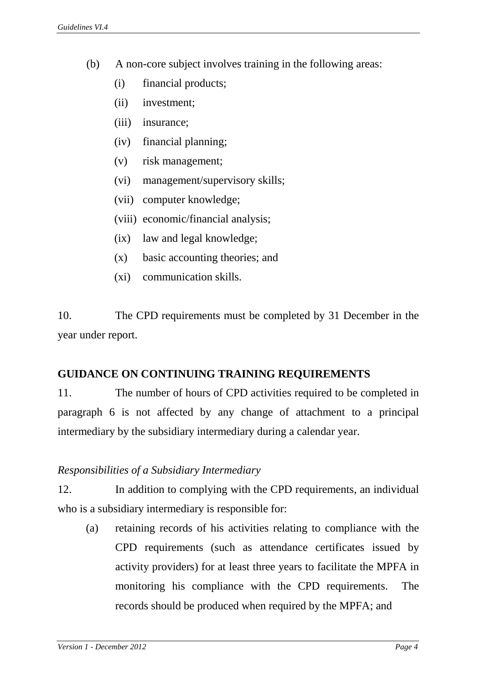- (b) A non-core subject involves training in the following areas:
	- (i) financial products;
	- (ii) investment;
	- (iii) insurance;
	- (iv) financial planning;
	- (v) risk management;
	- (vi) management/supervisory skills;
	- (vii) computer knowledge;
	- (viii) economic/financial analysis;
	- (ix) law and legal knowledge;
	- (x) basic accounting theories; and
	- (xi) communication skills.

10. The CPD requirements must be completed by 31 December in the year under report.

## **GUIDANCE ON CONTINUING TRAINING REQUIREMENTS**

11. The number of hours of CPD activities required to be completed in paragraph 6 is not affected by any change of attachment to a principal intermediary by the subsidiary intermediary during a calendar year.

## *Responsibilities of a Subsidiary Intermediary*

12. In addition to complying with the CPD requirements, an individual who is a subsidiary intermediary is responsible for:

(a) retaining records of his activities relating to compliance with the CPD requirements (such as attendance certificates issued by activity providers) for at least three years to facilitate the MPFA in monitoring his compliance with the CPD requirements. The records should be produced when required by the MPFA; and